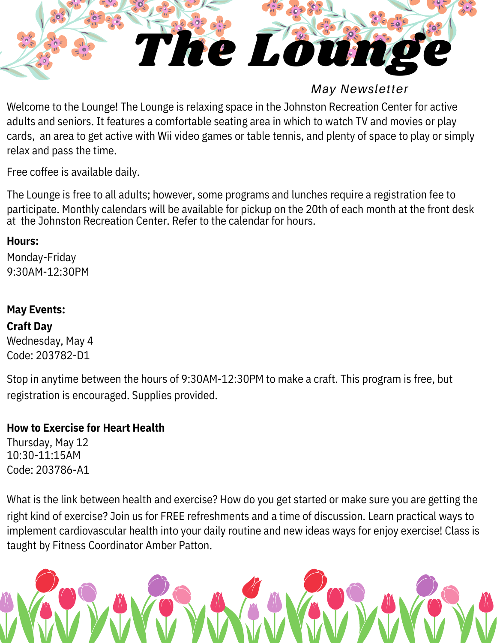

*May Newsletter*

Welcome to the Lounge! The Lounge is relaxing space in the Johnston Recreation Center for active adults and seniors. It features a comfortable seating area in which to watch TV and movies or play cards, an area to get active with Wii video games or table tennis, and plenty of space to play or simply relax and pass the time.

Free coffee is available daily.

The Lounge is free to all adults; however, some programs and lunches require a registration fee to participate. Monthly calendars will be available for pickup on the 20th of each month at the front desk at the Johnston Recreation Center. Refer to the calendar for hours.

## **Hours:**

Monday-Friday 9:30AM-12:30PM

# **May Events:**

**Craft Day**

Wednesday, May 4 Code: 203782-D1

Stop in anytime between the hours of 9:30AM-12:30PM to make a craft. This program is free, but registration is encouraged. Supplies provided.

# **How to Exercise for Heart Health**

Thursday, May 12 10:30-11:15AM Code: 203786-A1

What is the link between health and exercise? How do you get started or make sure you are getting the right kind of exercise? Join us for FREE refreshments and a time of discussion. Learn practical ways to implement cardiovascular health into your daily routine and new ideas ways for enjoy exercise! Class is taught by Fitness Coordinator Amber Patton.